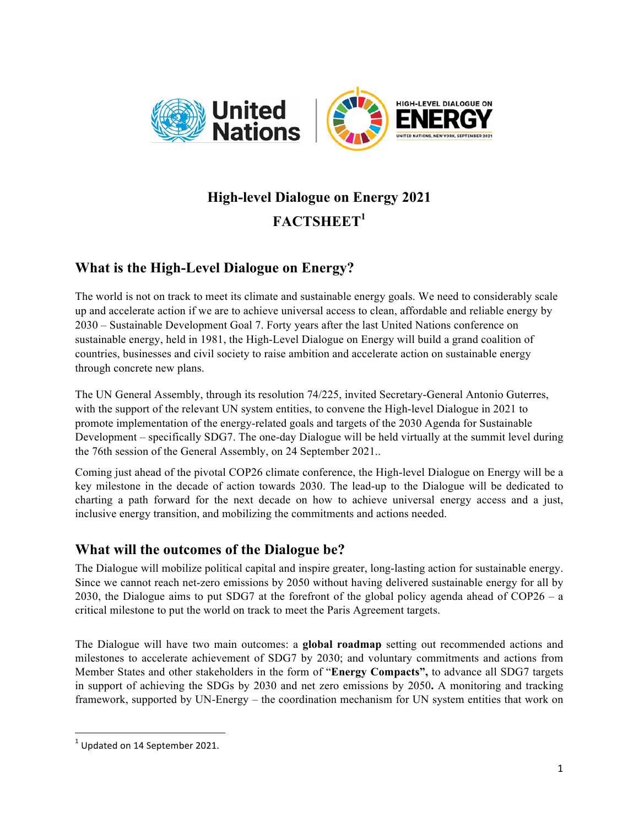

# **High-level Dialogue on Energy 2021 FACTSHEET<sup>1</sup>**

# **What is the High-Level Dialogue on Energy?**

The world is not on track to meet its climate and sustainable energy goals. We need to considerably scale up and accelerate action if we are to achieve universal access to clean, affordable and reliable energy by 2030 – Sustainable Development Goal 7. Forty years after the last United Nations conference on sustainable energy, held in 1981, the High-Level Dialogue on Energy will build a grand coalition of countries, businesses and civil society to raise ambition and accelerate action on sustainable energy through concrete new plans.

The UN General Assembly, through its resolution 74/225, invited Secretary-General Antonio Guterres, with the support of the relevant UN system entities, to convene the High-level Dialogue in 2021 to promote implementation of the energy-related goals and targets of the 2030 Agenda for Sustainable Development – specifically SDG7. The one-day Dialogue will be held virtually at the summit level during the 76th session of the General Assembly, on 24 September 2021..

Coming just ahead of the pivotal COP26 climate conference, the High-level Dialogue on Energy will be a key milestone in the decade of action towards 2030. The lead-up to the Dialogue will be dedicated to charting a path forward for the next decade on how to achieve universal energy access and a just, inclusive energy transition, and mobilizing the commitments and actions needed.

## **What will the outcomes of the Dialogue be?**

The Dialogue will mobilize political capital and inspire greater, long-lasting action for sustainable energy. Since we cannot reach net-zero emissions by 2050 without having delivered sustainable energy for all by 2030, the Dialogue aims to put SDG7 at the forefront of the global policy agenda ahead of COP26 – a critical milestone to put the world on track to meet the Paris Agreement targets.

The Dialogue will have two main outcomes: a **global roadmap** setting out recommended actions and milestones to accelerate achievement of SDG7 by 2030; and voluntary commitments and actions from Member States and other stakeholders in the form of "**Energy Compacts",** to advance all SDG7 targets in support of achieving the SDGs by 2030 and net zero emissions by 2050**.** A monitoring and tracking framework, supported by UN-Energy – the coordination mechanism for UN system entities that work on

<sup>&</sup>lt;u> 1989 - Johann Barn, mars ann an t-Amhain an t-Amhain an t-Amhain an t-Amhain an t-Amhain an t-Amhain an t-Amh</u>  $1$  Updated on 14 September 2021.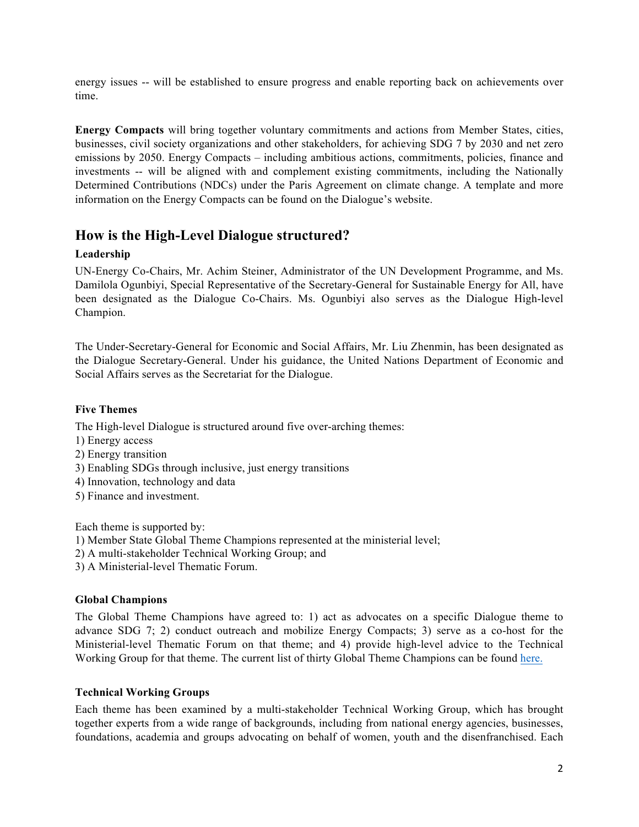energy issues -- will be established to ensure progress and enable reporting back on achievements over time.

**Energy Compacts** will bring together voluntary commitments and actions from Member States, cities, businesses, civil society organizations and other stakeholders, for achieving SDG 7 by 2030 and net zero emissions by 2050. Energy Compacts – including ambitious actions, commitments, policies, finance and investments -- will be aligned with and complement existing commitments, including the Nationally Determined Contributions (NDCs) under the Paris Agreement on climate change. A template and more information on the Energy Compacts can be found on the Dialogue's website.

### **How is the High-Level Dialogue structured?**

#### **Leadership**

UN-Energy Co-Chairs, Mr. Achim Steiner, Administrator of the UN Development Programme, and Ms. Damilola Ogunbiyi, Special Representative of the Secretary-General for Sustainable Energy for All, have been designated as the Dialogue Co-Chairs. Ms. Ogunbiyi also serves as the Dialogue High-level Champion.

The Under-Secretary-General for Economic and Social Affairs, Mr. Liu Zhenmin, has been designated as the Dialogue Secretary-General. Under his guidance, the United Nations Department of Economic and Social Affairs serves as the Secretariat for the Dialogue.

#### **Five Themes**

The High-level Dialogue is structured around five over-arching themes:

- 1) Energy access
- 2) Energy transition
- 3) Enabling SDGs through inclusive, just energy transitions
- 4) Innovation, technology and data
- 5) Finance and investment.

Each theme is supported by:

- 1) Member State Global Theme Champions represented at the ministerial level;
- 2) A multi-stakeholder Technical Working Group; and
- 3) A Ministerial-level Thematic Forum.

#### **Global Champions**

The Global Theme Champions have agreed to: 1) act as advocates on a specific Dialogue theme to advance SDG 7; 2) conduct outreach and mobilize Energy Compacts; 3) serve as a co-host for the Ministerial-level Thematic Forum on that theme; and 4) provide high-level advice to the Technical Working Group for that theme. The current list of thirty Global Theme Champions can be found here.

#### **Technical Working Groups**

Each theme has been examined by a multi-stakeholder Technical Working Group, which has brought together experts from a wide range of backgrounds, including from national energy agencies, businesses, foundations, academia and groups advocating on behalf of women, youth and the disenfranchised. Each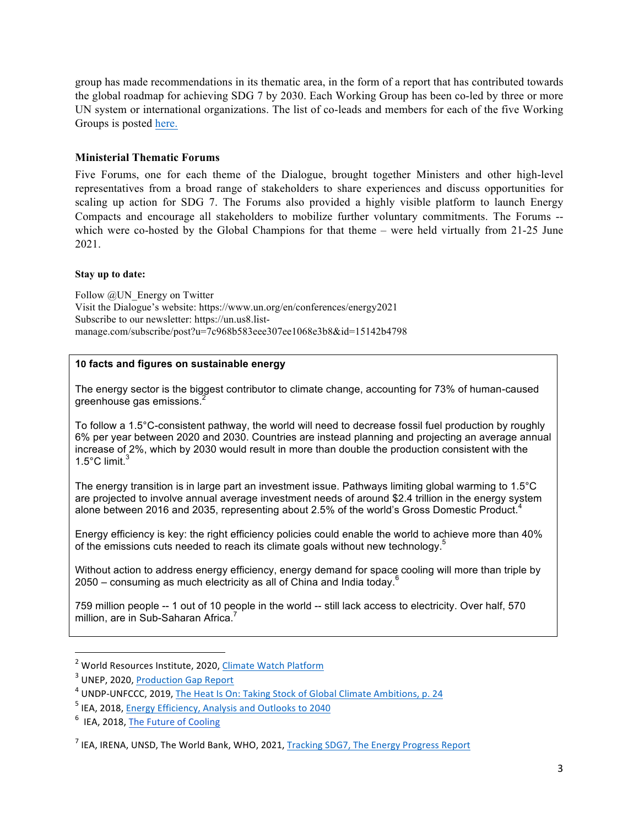group has made recommendations in its thematic area, in the form of a report that has contributed towards the global roadmap for achieving SDG 7 by 2030. Each Working Group has been co-led by three or more UN system or international organizations. The list of co-leads and members for each of the five Working Groups is posted here.

#### **Ministerial Thematic Forums**

Five Forums, one for each theme of the Dialogue, brought together Ministers and other high-level representatives from a broad range of stakeholders to share experiences and discuss opportunities for scaling up action for SDG 7. The Forums also provided a highly visible platform to launch Energy Compacts and encourage all stakeholders to mobilize further voluntary commitments. The Forums - which were co-hosted by the Global Champions for that theme – were held virtually from 21-25 June 2021.

#### **Stay up to date:**

Follow @UN\_Energy on Twitter Visit the Dialogue's website: https://www.un.org/en/conferences/energy2021 Subscribe to our newsletter: https://un.us8.listmanage.com/subscribe/post?u=7c968b583eee307ee1068e3b8&id=15142b4798

#### **10 facts and figures on sustainable energy**

The energy sector is the biggest contributor to climate change, accounting for 73% of human-caused greenhouse gas emissions.<sup>2</sup>

To follow a 1.5°C-consistent pathway, the world will need to decrease fossil fuel production by roughly 6% per year between 2020 and 2030. Countries are instead planning and projecting an average annual increase of 2%, which by 2030 would result in more than double the production consistent with the 1.5 $^{\circ}$ C limit. $^{3}$ 

The energy transition is in large part an investment issue. Pathways limiting global warming to 1.5°C are projected to involve annual average investment needs of around \$2.4 trillion in the energy system alone between 2016 and 2035, representing about 2.5% of the world's Gross Domestic Product.<sup>4</sup>

Energy efficiency is key: the right efficiency policies could enable the world to achieve more than 40% of the emissions cuts needed to reach its climate goals without new technology.<sup>5</sup>

Without action to address energy efficiency, energy demand for space cooling will more than triple by 2050 – consuming as much electricity as all of China and India today.<sup>6</sup>

759 million people -- 1 out of 10 people in the world -- still lack access to electricity. Over half, 570 million, are in Sub-Saharan Africa.<sup>1</sup>

<u> 1989 - Johann Barn, mars ann an t-Amhain an t-Amhain an t-Amhain an t-Amhain an t-Amhain an t-Amhain an t-Amh</u>

 $2$  World Resources Institute, 2020, Climate Watch Platform

 $3$  UNEP, 2020, Production Gap Report

<sup>&</sup>lt;sup>4</sup> UNDP-UNFCCC, 2019, The Heat Is On: Taking Stock of Global Climate Ambitions, p. 24

<sup>&</sup>lt;sup>5</sup> IEA, 2018, Energy Efficiency, Analysis and Outlooks to 2040

 $6$  IEA, 2018, The Future of Cooling

 $<sup>7</sup>$  IEA, IRENA, UNSD, The World Bank, WHO, 2021, Tracking SDG7, The Energy Progress Report</sup>